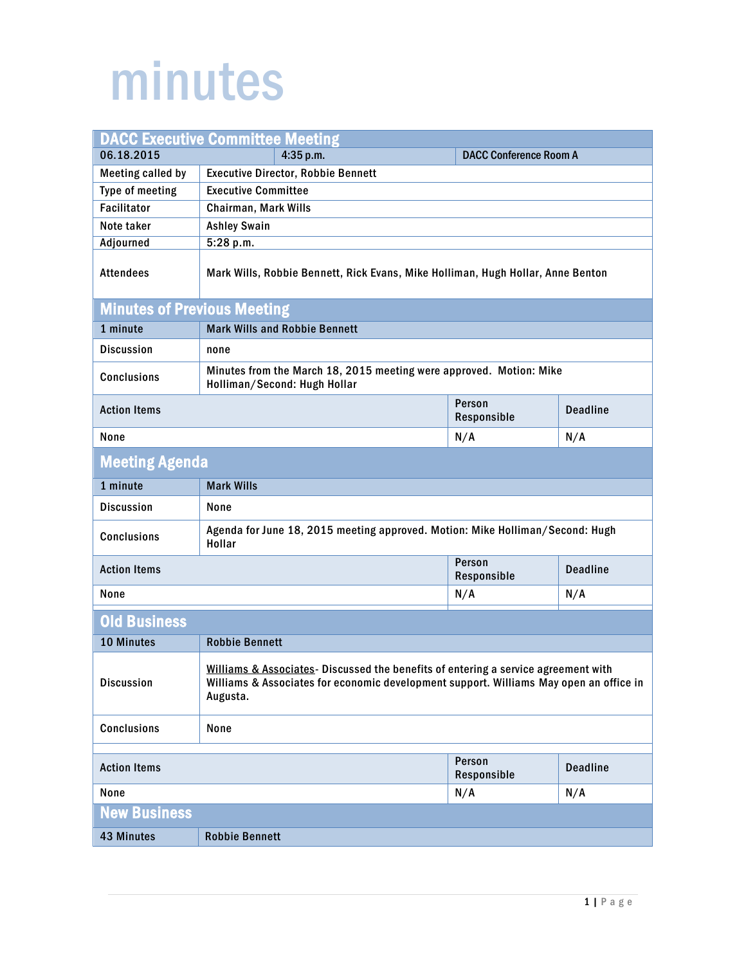## minutes

| <b>DACC Executive Committee Meeting</b> |                                                                                                                                                                                          |                               |                 |  |
|-----------------------------------------|------------------------------------------------------------------------------------------------------------------------------------------------------------------------------------------|-------------------------------|-----------------|--|
| 06.18.2015                              | 4:35 p.m.                                                                                                                                                                                | <b>DACC Conference Room A</b> |                 |  |
| <b>Meeting called by</b>                | <b>Executive Director, Robbie Bennett</b>                                                                                                                                                |                               |                 |  |
| Type of meeting                         | <b>Executive Committee</b>                                                                                                                                                               |                               |                 |  |
| <b>Facilitator</b>                      | Chairman, Mark Wills                                                                                                                                                                     |                               |                 |  |
| Note taker                              | <b>Ashley Swain</b>                                                                                                                                                                      |                               |                 |  |
| Adjourned                               | 5:28 p.m.                                                                                                                                                                                |                               |                 |  |
| <b>Attendees</b>                        | Mark Wills, Robbie Bennett, Rick Evans, Mike Holliman, Hugh Hollar, Anne Benton                                                                                                          |                               |                 |  |
| <b>Minutes of Previous Meeting</b>      |                                                                                                                                                                                          |                               |                 |  |
| 1 minute                                | <b>Mark Wills and Robbie Bennett</b>                                                                                                                                                     |                               |                 |  |
| <b>Discussion</b>                       | none                                                                                                                                                                                     |                               |                 |  |
| <b>Conclusions</b>                      | Minutes from the March 18, 2015 meeting were approved. Motion: Mike<br>Holliman/Second: Hugh Hollar                                                                                      |                               |                 |  |
| <b>Action Items</b>                     |                                                                                                                                                                                          | Person<br>Responsible         | <b>Deadline</b> |  |
| None                                    |                                                                                                                                                                                          | N/A                           | N/A             |  |
| <b>Meeting Agenda</b>                   |                                                                                                                                                                                          |                               |                 |  |
| 1 minute                                | <b>Mark Wills</b>                                                                                                                                                                        |                               |                 |  |
| <b>Discussion</b>                       | None                                                                                                                                                                                     |                               |                 |  |
| <b>Conclusions</b>                      | Agenda for June 18, 2015 meeting approved. Motion: Mike Holliman/Second: Hugh<br>Hollar                                                                                                  |                               |                 |  |
| <b>Action Items</b>                     |                                                                                                                                                                                          | Person<br>Responsible         | <b>Deadline</b> |  |
| None                                    |                                                                                                                                                                                          | N/A                           | N/A             |  |
| <b>Old Business</b>                     |                                                                                                                                                                                          |                               |                 |  |
| 10 Minutes                              | <b>Robbie Bennett</b>                                                                                                                                                                    |                               |                 |  |
| <b>Discussion</b>                       | Williams & Associates- Discussed the benefits of entering a service agreement with<br>Williams & Associates for economic development support. Williams May open an office in<br>Augusta. |                               |                 |  |
| <b>Conclusions</b>                      | None                                                                                                                                                                                     |                               |                 |  |
| Person                                  |                                                                                                                                                                                          |                               |                 |  |
| <b>Action Items</b>                     |                                                                                                                                                                                          | Responsible                   | <b>Deadline</b> |  |
| None                                    |                                                                                                                                                                                          | N/A                           | N/A             |  |
| <b>New Business</b>                     |                                                                                                                                                                                          |                               |                 |  |
| 43 Minutes                              | <b>Robbie Bennett</b>                                                                                                                                                                    |                               |                 |  |